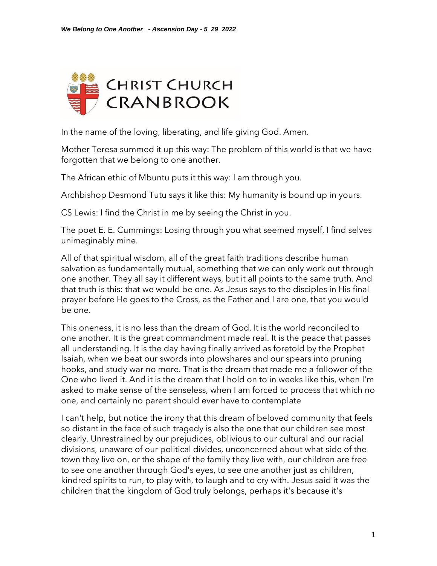

In the name of the loving, liberating, and life giving God. Amen.

Mother Teresa summed it up this way: The problem of this world is that we have forgotten that we belong to one another.

The African ethic of Mbuntu puts it this way: I am through you.

Archbishop Desmond Tutu says it like this: My humanity is bound up in yours.

CS Lewis: I find the Christ in me by seeing the Christ in you.

The poet E. E. Cummings: Losing through you what seemed myself, I find selves unimaginably mine.

All of that spiritual wisdom, all of the great faith traditions describe human salvation as fundamentally mutual, something that we can only work out through one another. They all say it different ways, but it all points to the same truth. And that truth is this: that we would be one. As Jesus says to the disciples in His final prayer before He goes to the Cross, as the Father and I are one, that you would be one.

This oneness, it is no less than the dream of God. It is the world reconciled to one another. It is the great commandment made real. It is the peace that passes all understanding. It is the day having finally arrived as foretold by the Prophet Isaiah, when we beat our swords into plowshares and our spears into pruning hooks, and study war no more. That is the dream that made me a follower of the One who lived it. And it is the dream that I hold on to in weeks like this, when I'm asked to make sense of the senseless, when I am forced to process that which no one, and certainly no parent should ever have to contemplate

I can't help, but notice the irony that this dream of beloved community that feels so distant in the face of such tragedy is also the one that our children see most clearly. Unrestrained by our prejudices, oblivious to our cultural and our racial divisions, unaware of our political divides, unconcerned about what side of the town they live on, or the shape of the family they live with, our children are free to see one another through God's eyes, to see one another just as children, kindred spirits to run, to play with, to laugh and to cry with. Jesus said it was the children that the kingdom of God truly belongs, perhaps it's because it's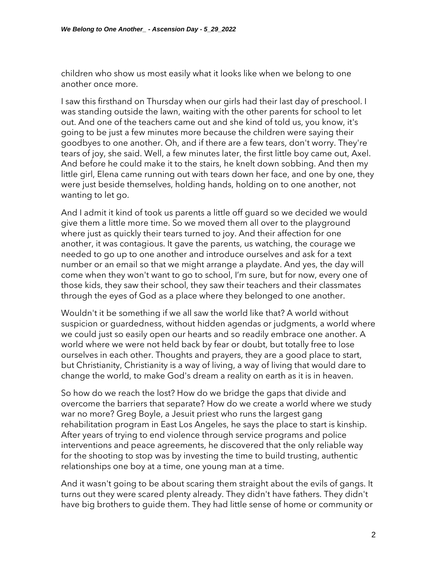children who show us most easily what it looks like when we belong to one another once more.

I saw this firsthand on Thursday when our girls had their last day of preschool. I was standing outside the lawn, waiting with the other parents for school to let out. And one of the teachers came out and she kind of told us, you know, it's going to be just a few minutes more because the children were saying their goodbyes to one another. Oh, and if there are a few tears, don't worry. They're tears of joy, she said. Well, a few minutes later, the first little boy came out, Axel. And before he could make it to the stairs, he knelt down sobbing. And then my little girl, Elena came running out with tears down her face, and one by one, they were just beside themselves, holding hands, holding on to one another, not wanting to let go.

And I admit it kind of took us parents a little off guard so we decided we would give them a little more time. So we moved them all over to the playground where just as quickly their tears turned to joy. And their affection for one another, it was contagious. It gave the parents, us watching, the courage we needed to go up to one another and introduce ourselves and ask for a text number or an email so that we might arrange a playdate. And yes, the day will come when they won't want to go to school, I'm sure, but for now, every one of those kids, they saw their school, they saw their teachers and their classmates through the eyes of God as a place where they belonged to one another.

Wouldn't it be something if we all saw the world like that? A world without suspicion or guardedness, without hidden agendas or judgments, a world where we could just so easily open our hearts and so readily embrace one another. A world where we were not held back by fear or doubt, but totally free to lose ourselves in each other. Thoughts and prayers, they are a good place to start, but Christianity, Christianity is a way of living, a way of living that would dare to change the world, to make God's dream a reality on earth as it is in heaven.

So how do we reach the lost? How do we bridge the gaps that divide and overcome the barriers that separate? How do we create a world where we study war no more? Greg Boyle, a Jesuit priest who runs the largest gang rehabilitation program in East Los Angeles, he says the place to start is kinship. After years of trying to end violence through service programs and police interventions and peace agreements, he discovered that the only reliable way for the shooting to stop was by investing the time to build trusting, authentic relationships one boy at a time, one young man at a time.

And it wasn't going to be about scaring them straight about the evils of gangs. It turns out they were scared plenty already. They didn't have fathers. They didn't have big brothers to guide them. They had little sense of home or community or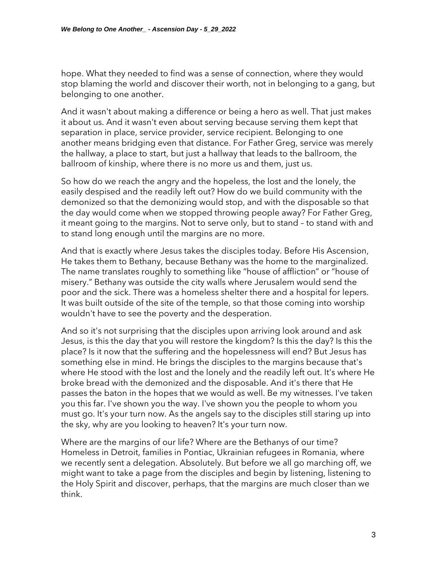hope. What they needed to find was a sense of connection, where they would stop blaming the world and discover their worth, not in belonging to a gang, but belonging to one another.

And it wasn't about making a difference or being a hero as well. That just makes it about us. And it wasn't even about serving because serving them kept that separation in place, service provider, service recipient. Belonging to one another means bridging even that distance. For Father Greg, service was merely the hallway, a place to start, but just a hallway that leads to the ballroom, the ballroom of kinship, where there is no more us and them, just us.

So how do we reach the angry and the hopeless, the lost and the lonely, the easily despised and the readily left out? How do we build community with the demonized so that the demonizing would stop, and with the disposable so that the day would come when we stopped throwing people away? For Father Greg, it meant going to the margins. Not to serve only, but to stand – to stand with and to stand long enough until the margins are no more.

And that is exactly where Jesus takes the disciples today. Before His Ascension, He takes them to Bethany, because Bethany was the home to the marginalized. The name translates roughly to something like "house of affliction" or "house of misery." Bethany was outside the city walls where Jerusalem would send the poor and the sick. There was a homeless shelter there and a hospital for lepers. It was built outside of the site of the temple, so that those coming into worship wouldn't have to see the poverty and the desperation.

And so it's not surprising that the disciples upon arriving look around and ask Jesus, is this the day that you will restore the kingdom? Is this the day? Is this the place? Is it now that the suffering and the hopelessness will end? But Jesus has something else in mind. He brings the disciples to the margins because that's where He stood with the lost and the lonely and the readily left out. It's where He broke bread with the demonized and the disposable. And it's there that He passes the baton in the hopes that we would as well. Be my witnesses. I've taken you this far. I've shown you the way. I've shown you the people to whom you must go. It's your turn now. As the angels say to the disciples still staring up into the sky, why are you looking to heaven? It's your turn now.

Where are the margins of our life? Where are the Bethanys of our time? Homeless in Detroit, families in Pontiac, Ukrainian refugees in Romania, where we recently sent a delegation. Absolutely. But before we all go marching off, we might want to take a page from the disciples and begin by listening, listening to the Holy Spirit and discover, perhaps, that the margins are much closer than we think.